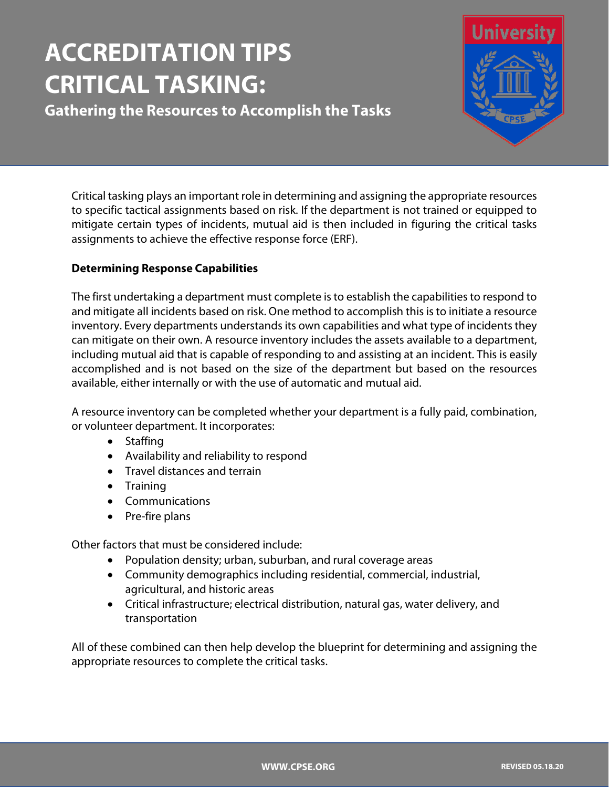# **ACCREDITATION TIPS CRITICAL TASKING:**

**Gathering the Resources to Accomplish the Tasks**



Critical tasking plays an important role in determining and assigning the appropriate resources to specific tactical assignments based on risk. If the department is not trained or equipped to mitigate certain types of incidents, mutual aid is then included in figuring the critical tasks assignments to achieve the effective response force (ERF).

## **Determining Response Capabilities**

The first undertaking a department must complete is to establish the capabilities to respond to and mitigate all incidents based on risk. One method to accomplish this is to initiate a resource inventory. Every departments understands its own capabilities and what type of incidents they can mitigate on their own. A resource inventory includes the assets available to a department, including mutual aid that is capable of responding to and assisting at an incident. This is easily accomplished and is not based on the size of the department but based on the resources available, either internally or with the use of automatic and mutual aid.

A resource inventory can be completed whether your department is a fully paid, combination, or volunteer department. It incorporates:

- Staffing
- Availability and reliability to respond
- Travel distances and terrain
- Training
- Communications
- Pre-fire plans

Other factors that must be considered include:

- Population density; urban, suburban, and rural coverage areas
- Community demographics including residential, commercial, industrial, agricultural, and historic areas
- Critical infrastructure; electrical distribution, natural gas, water delivery, and transportation

All of these combined can then help develop the blueprint for determining and assigning the appropriate resources to complete the critical tasks.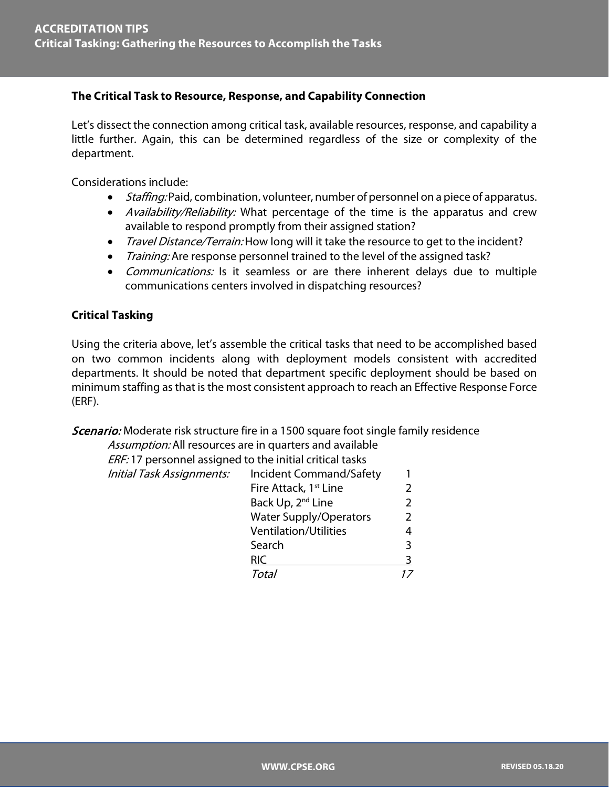### **The Critical Task to Resource, Response, and Capability Connection**

Let's dissect the connection among critical task, available resources, response, and capability a little further. Again, this can be determined regardless of the size or complexity of the department.

Considerations include:

- *Staffing:* Paid, combination, volunteer, number of personnel on a piece of apparatus.
- *Availability/Reliability:* What percentage of the time is the apparatus and crew available to respond promptly from their assigned station?
- Travel Distance/Terrain: How long will it take the resource to get to the incident?
- Training: Are response personnel trained to the level of the assigned task?
- *Communications:* Is it seamless or are there inherent delays due to multiple communications centers involved in dispatching resources?

#### **Critical Tasking**

Using the criteria above, let's assemble the critical tasks that need to be accomplished based on two common incidents along with deployment models consistent with accredited departments. It should be noted that department specific deployment should be based on minimum staffing as that is the most consistent approach to reach an Effective Response Force (ERF).

Scenario: Moderate risk structure fire in a 1500 square foot single family residence

| Assumption: All resources are in quarters and available  |   |
|----------------------------------------------------------|---|
| ERF: 17 personnel assigned to the initial critical tasks |   |
| Incident Command/Safety                                  |   |
| Fire Attack, 1 <sup>st</sup> Line                        |   |
| Back Up, 2 <sup>nd</sup> Line                            | 2 |
| <b>Water Supply/Operators</b>                            | 2 |
| <b>Ventilation/Utilities</b>                             | 4 |
| Search                                                   | 3 |
| <b>RIC</b>                                               | 3 |
| Total                                                    |   |
|                                                          |   |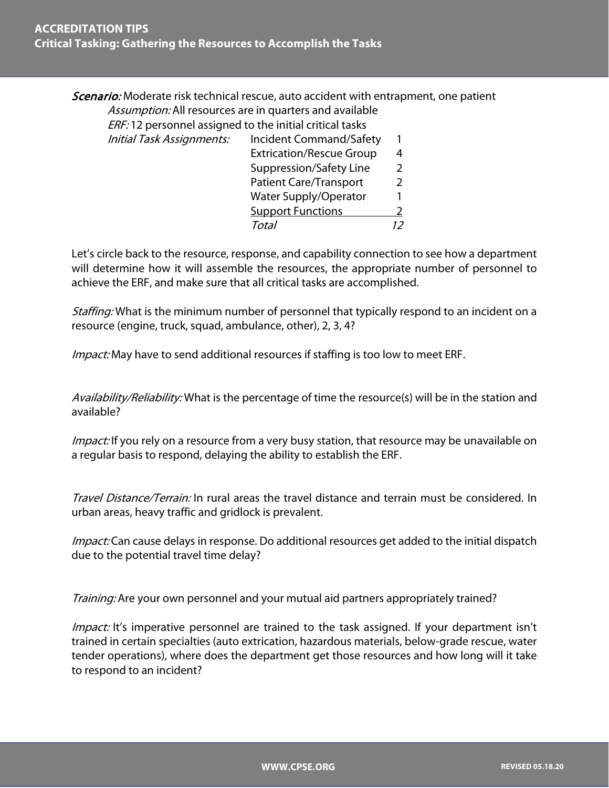Scenario: Moderate risk technical rescue, auto accident with entrapment, one patient Assumption: All resources are in quarters and available

ERF: 12 personnel assigned to the initial critical tasks

| <b>Initial Task Assignments:</b> | <b>Incident Command/Safety</b>  |  |
|----------------------------------|---------------------------------|--|
|                                  | <b>Extrication/Rescue Group</b> |  |
|                                  | Suppression/Safety Line         |  |
|                                  | <b>Patient Care/Transport</b>   |  |
|                                  | <b>Water Supply/Operator</b>    |  |
|                                  | <b>Support Functions</b>        |  |
|                                  | Total                           |  |
|                                  |                                 |  |

Let's circle back to the resource, response, and capability connection to see how a department will determine how it will assemble the resources, the appropriate number of personnel to achieve the ERF, and make sure that all critical tasks are accomplished.

Staffing: What is the minimum number of personnel that typically respond to an incident on a resource (engine, truck, squad, ambulance, other), 2, 3, 4?

*Impact:* May have to send additional resources if staffing is too low to meet ERF.

Availability/Reliability: What is the percentage of time the resource(s) will be in the station and available?

*Impact:* If you rely on a resource from a very busy station, that resource may be unavailable on a regular basis to respond, delaying the ability to establish the ERF.

Travel Distance/Terrain: In rural areas the travel distance and terrain must be considered. In urban areas, heavy traffic and gridlock is prevalent.

Impact: Can cause delays in response. Do additional resources get added to the initial dispatch due to the potential travel time delay?

Training: Are your own personnel and your mutual aid partners appropriately trained?

Impact: It's imperative personnel are trained to the task assigned. If your department isn't trained in certain specialties (auto extrication, hazardous materials, below-grade rescue, water tender operations), where does the department get those resources and how long will it take to respond to an incident?